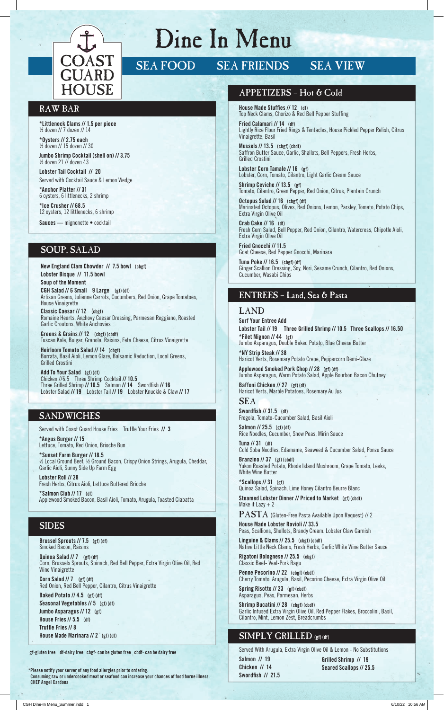

# Dine In Menu

# SEA FOOD SEA FRIENDS SEA VIEW

### RAW BAR

**\*Littleneck Clams // 1.5 per piece** ½ dozen // 7 dozen // 14

**\*Oysters // 2.75 each** ½ dozen // 15 dozen // 30

**Jumbo Shrimp Cocktail (shell on) // 3.75** ½ dozen 21 // dozen 43

**Lobster Tail Cocktail // 20** Served with Cocktail Sauce & Lemon Wedge

**\*Anchor Platter // 31** 6 oysters, 6 littlenecks, 2 shrimp

**\*Ice Crusher // 68.5** 12 oysters, 12 littlenecks, 6 shrimp **Sauces —** mignonette • cocktail

# SOUP, SALAD

**New England Clam Chowder // 7.5 bowl (cbgf) Lobster Bisque // 11.5 bowl Soup of the Moment CGH Salad // 6 Small 9 Large (gf) (df)**  Artisan Greens, Julienne Carrots, Cucumbers, Red Onion, Grape Tomatoes, House Vinaigrette **Classic Caesar // 12 (cbgf)** 

Romaine Hearts, Anchovy Caesar Dressing, Parmesan Reggiano, Roasted Garlic Croutons, White Anchovies

**Greens & Grains // 12 (cbgf) (cbdf)** Tuscan Kale, Bulgar, Granola, Raisins, Feta Cheese, Citrus Vinaigrette

**Heirloom Tomato Salad // 14 (cbgf)**  Burrata, Basil Aioli, Lemon Glaze, Balsamic Reduction, Local Greens, Grilled Crostini

**Add To Your Salad (gf) (df)** Chicken //6.5 Three Shrimp Cocktail **// 10.5** Three Grilled Shrimp **// 10.5** Salmon **// 14** Swordfi sh **// 16** Lobster Salad **// 19** Lobster Tail **// 19** Lobster Knuckle & Claw **// 17**

#### **SANDWICHES**

Served with Coast Guard House Fries Truffle Your Fries // 3 **\*Angus Burger // 15** Lettuce, Tomato, Red Onion, Brioche Bun

**\*Sunset Farm Burger // 18.5** ½ Local Ground Beef, ½ Ground Bacon, Crispy Onion Strings, Arugula, Cheddar, Garlic Aioli, Sunny Side Up Farm Egg **Lobster Roll // 28**

Fresh Herbs, Citrus Aioli, Lettuce Buttered Brioche **\*Salmon Club // 17 (df)** Applewood Smoked Bacon, Basil Aioli, Tomato, Arugula, Toasted Ciabatta

## SIDES

**Brussel Sprouts // 7.5 (gf) (df)** Smoked Bacon, Raisins

**House Made Marinara // 2 (gf) (df)**

**Quinoa Salad // 7 (gf) (df)** Corn, Brussels Sprouts, Spinach, Red Bell Pepper, Extra Virgin Olive Oil, Red Wine Vinaigrette

**Corn Salad // 7 (gf) (df)** Red Onion, Red Bell Pepper, Cilantro, Citrus Vinaigrette **Baked Potato // 4.5 (gf) (df) Seasonal Vegetables // 5 (gf) (df) Jumbo Asparagus // 12 (gf) House Fries // 5.5 (df) Truffle Fries // 8** 

**gf-gluten free df-dairy free cbgf- can be gluten free cbdf- can be dairy free**

**\* Please notify your server of any food allergies prior to ordering. Consuming raw or undercooked meat or seafood can increase your chances of food borne illness. CHEF Angel Cardona**

#### APPETIZERS – Hot & Cold

**House Made Stuffies // 12 (df)** Top Neck Clams, Chorizo & Red Bell Pepper Stuffing **Fried Calamari // 14 (df)**

Lightly Rice Flour Fried Rings & Tentacles, House Pickled Pepper Relish, Citrus Vinaigrette, Basil

**Mussels // 13.5 (cbgf) (cbdf)** Saffron Butter Sauce, Garlic, Shallots, Bell Peppers, Fresh Herbs, Grilled Crostini

**Lobster Corn Tamale // 16 (gf)** Lobster, Corn, Tomato, Cilantro, Light Garlic Cream Sauce

**Shrimp Ceviche // 13.5 (gf)** Tomato, Cilantro, Green Pepper, Red Onion, Citrus, Plantain Crunch

**Octopus Salad // 16 (cbgf) (df)** Marinated Octopus, Olives, Red Onions, Lemon, Parsley, Tomato, Potato Chips, Extra Virgin Olive Oil

**Crab Cake // 16 (df)** Fresh Corn Salad, Bell Pepper, Red Onion, Cilantro, Watercress, Chipotle Aioli, Extra Virgin Olive Oil

**Fried Gnocchi // 11.5** Goat Cheese, Red Pepper Gnocchi, Marinara

**Tuna Poke // 16.5 (cbgf) (df)** Ginger Scallion Dressing, Soy, Nori, Sesame Crunch, Cilantro, Red Onions, Cucumber, Wasabi Chips

#### ENTREES – Land, Sea & Pasta

#### LAND

**Surf Your Entree Add Lobster Tail // 19 Three Grilled Shrimp // 10.5 Three Scallops // 16.50 \*Filet Mignon // 44 (gf)**  Jumbo Asparagus, Double Baked Potato, Blue Cheese Butter **\*NY Strip Steak // 38**  Haricot Verts, Rosemary Potato Crepe, Peppercorn Demi-Glaze **Applewood Smoked Pork Chop // 28 (gf) (df)** Jumbo Asparagus, Warm Potato Salad, Apple Bourbon Bacon Chutney **Baffoni Chicken // 27 (gf) (df)** Haricot Verts, Marble Potatoes, Rosemary Au Jus SEA

Swordfish // 31.5 (df) Fregola, Tomato-Cucumber Salad, Basil Aioli

**Salmon // 25.5 (gf) (df)** Rice Noodles, Cucumber, Snow Peas, Mirin Sauce

**Tuna // 31 (df)** Cold Soba Noodles, Edamame, Seaweed & Cucumber Salad, Ponzu Sauce

**Branzino // 37 (gf) (cbdf)** Yukon Roasted Potato, Rhode Island Mushroom, Grape Tomato, Leeks, White Wine Butter

**\*Scallops // 31 (gf)** Quinoa Salad, Spinach, Lime Honey Cilantro Beurre Blanc **Steamed Lobster Dinner // Priced to Market (gf) (cbdf)** Make it Lazy  $+2$ 

PASTA (Gluten-Free Pasta Available Upon Request) // 2 **House Made Lobster Ravioli // 33.5**

Peas, Scallions, Shallots, Brandy Cream. Lobster Claw Garnish **Linguine & Clams // 25.5 (cbgf) (cbdf)**

Native Little Neck Clams, Fresh Herbs, Garlic White Wine Butter Sauce **Rigatoni Bolognese // 25.5 (cbgf)**

Classic Beef- Veal-Pork Ragu Penne Pecorino // 22 (cbgf) (cbdf)

Cherry Tomato, Arugula, Basil, Pecorino Cheese, Extra Virgin Olive Oil **Spring Risotto // 23 (gf) (cbdf)**

Asparagus, Peas, Parmesan, Herbs

**Shrimp Bucatini // 28 (cbgf) (cbdf)** Garlic Infused Extra Virgin Olive Oil, Red Pepper Flakes, Broccolini, Basil, Cilantro, Mint, Lemon Zest, Breadcrumbs

## SIMPLY GRILLED **(gf) (df)**

Served With Arugula, Extra Virgin Olive Oil & Lemon - No Substitutions **Salmon // 19 Chicken // 14 Swordfish // 21.5** 

**Grilled Shrimp // 19 Seared Scallops // 25.5**